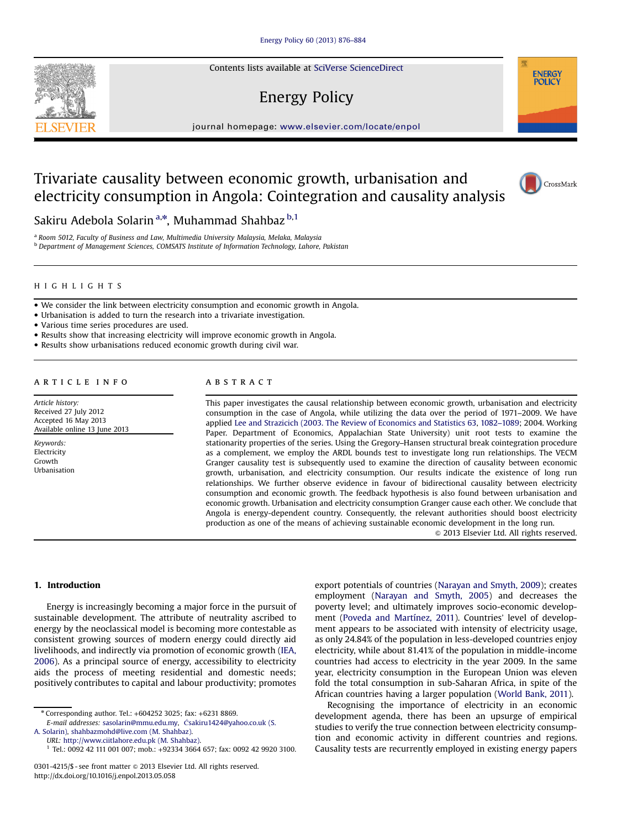Contents lists available at SciVerse ScienceDirect

# Energy Policy

 $j$ 

## Trivariate causality between economic growth, urbanisation and electricity consumption in Angola: Cointegration and causality analysis

Sakiru Adebola Solarin<sup>a,\*</sup>, Muhammad Shahbaz <sup>b,1</sup>

<sup>a</sup> Room 5012, Faculty of Business and Law, Multimedia University Malaysia, Melaka, Malaysia **b** Department of Management Sciences, COMSATS Institute of Information Technology, Lahore, Pakistan

## HIGHLIGHTS

- We consider the link between electricity consumption and economic growth in Angola.
- Urbanisation is added to turn the research into a trivariate investigation.

Various time series procedures are used.

- Results show that increasing electricity will improve economic growth in Angola.
- Results show urbanisations reduced economic growth during civil war.

### article info

Article history: Received 27 July 2012 Accepted 16 May 2013 Available online 13 June 2013

Keywords: Electricity Growth Urbanisation

## **ABSTRACT**

This paper investigates the causal relationship between economic growth, urbanisation and electricity consumption in the case of Angola, while utilizing the data over the period of 1971–2009. We have applied [Lee and Strazicich \(2003. The Review of Economics and Statistics 63](#page--1-0), [1082](#page--1-0)–1089; 2004. Working Paper. Department of Economics, Appalachian State University) unit root tests to examine the stationarity properties of the series. Using the Gregory–Hansen structural break cointegration procedure as a complement, we employ the ARDL bounds test to investigate long run relationships. The VECM Granger causality test is subsequently used to examine the direction of causality between economic growth, urbanisation, and electricity consumption. Our results indicate the existence of long run relationships. We further observe evidence in favour of bidirectional causality between electricity consumption and economic growth. The feedback hypothesis is also found between urbanisation and economic growth. Urbanisation and electricity consumption Granger cause each other. We conclude that Angola is energy-dependent country. Consequently, the relevant authorities should boost electricity production as one of the means of achieving sustainable economic development in the long run.

 $\odot$  2013 Elsevier Ltd. All rights reserved.

#### 1. Introduction

Energy is increasingly becoming a major force in the pursuit of sustainable development. The attribute of neutrality ascribed to energy by the neoclassical model is becoming more contestable as consistent growing sources of modern energy could directly aid livelihoods, and indirectly via promotion of economic growth [\(IEA,](#page--1-0) [2006](#page--1-0)). As a principal source of energy, accessibility to electricity aids the process of meeting residential and domestic needs; positively contributes to capital and labour productivity; promotes

<sup>n</sup> Corresponding author. Tel.: +604252 3025; fax: +6231 8869.

E-mail addresses: sasolarin@mmu.edu.my, Ć[sakiru1424@yahoo.co.uk \(S.](mailto:<?show $262#?>sakiru1424@yahoo.co.uk)

A. Solarin), [shahbazmohd@live.com \(M. Shahbaz\).](mailto:shahbazmohd@live.com)

URL: [http://www.ciitlahore.edu.pk \(M. Shahbaz\).](mailto:http://www.ciitlahore.edu.pk)

export potentials of countries ([Narayan and Smyth, 2009\)](#page--1-0); creates employment [\(Narayan and Smyth, 2005](#page--1-0)) and decreases the poverty level; and ultimately improves socio-economic development ([Poveda and Martínez, 2011\)](#page--1-0). Countries' level of development appears to be associated with intensity of electricity usage, as only 24.84% of the population in less-developed countries enjoy electricity, while about 81.41% of the population in middle-income countries had access to electricity in the year 2009. In the same year, electricity consumption in the European Union was eleven fold the total consumption in sub-Saharan Africa, in spite of the African countries having a larger population ([World Bank, 2011](#page--1-0)).

Recognising the importance of electricity in an economic development agenda, there has been an upsurge of empirical studies to verify the true connection between electricity consumption and economic activity in different countries and regions. Causality tests are recurrently employed in existing energy papers





**ENERGY POLICY** 

<sup>1</sup> Tel.: 0092 42 111 001 007; mob.: +92334 3664 657; fax: 0092 42 9920 3100.

<sup>0301-4215/\$ -</sup> see front matter  $\odot$  2013 Elsevier Ltd. All rights reserved. <http://dx.doi.org/10.1016/j.enpol.2013.05.058>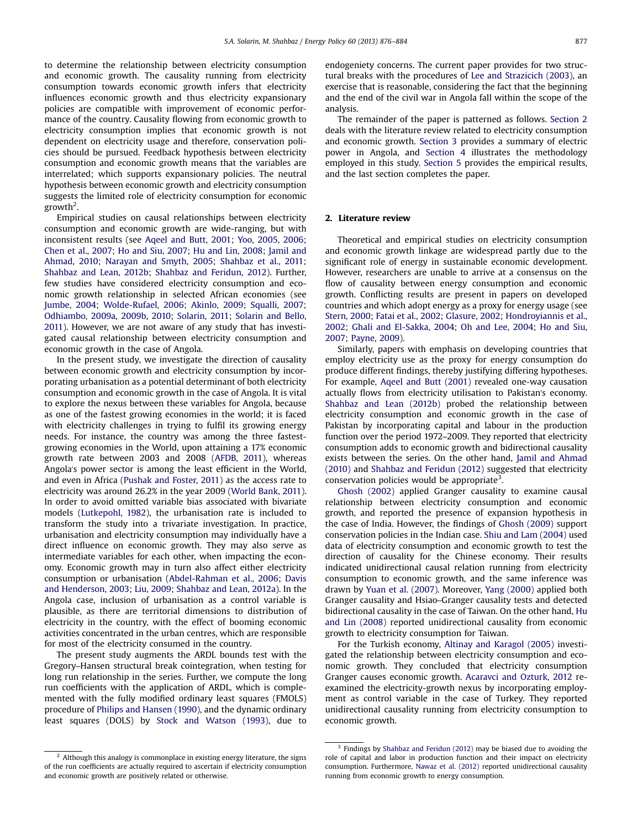to determine the relationship between electricity consumption and economic growth. The causality running from electricity consumption towards economic growth infers that electricity influences economic growth and thus electricity expansionary policies are compatible with improvement of economic performance of the country. Causality flowing from economic growth to electricity consumption implies that economic growth is not dependent on electricity usage and therefore, conservation policies should be pursued. Feedback hypothesis between electricity consumption and economic growth means that the variables are interrelated; which supports expansionary policies. The neutral hypothesis between economic growth and electricity consumption suggests the limited role of electricity consumption for economic growth<sup>2</sup>.

Empirical studies on causal relationships between electricity consumption and economic growth are wide-ranging, but with inconsistent results (see [Aqeel and Butt, 2001](#page--1-0); [Yoo, 2005](#page--1-0), [2006;](#page--1-0) [Chen et al., 2007](#page--1-0); [Ho and Siu, 2007](#page--1-0); [Hu and Lin, 2008;](#page--1-0) [Jamil and](#page--1-0) [Ahmad, 2010;](#page--1-0) [Narayan and Smyth, 2005](#page--1-0); [Shahbaz et al., 2011;](#page--1-0) [Shahbaz and Lean, 2012b](#page--1-0); [Shahbaz and Feridun, 2012](#page--1-0)). Further, few studies have considered electricity consumption and economic growth relationship in selected African economies (see [Jumbe, 2004](#page--1-0); [Wolde-Rufael, 2006](#page--1-0); [Akinlo, 2009](#page--1-0); [Squalli, 2007;](#page--1-0) [Odhiambo, 2009a,](#page--1-0) [2009b](#page--1-0), [2010;](#page--1-0) [Solarin, 2011](#page--1-0); [Solarin and Bello,](#page--1-0) [2011](#page--1-0)). However, we are not aware of any study that has investigated causal relationship between electricity consumption and economic growth in the case of Angola.

In the present study, we investigate the direction of causality between economic growth and electricity consumption by incorporating urbanisation as a potential determinant of both electricity consumption and economic growth in the case of Angola. It is vital to explore the nexus between these variables for Angola, because as one of the fastest growing economies in the world; it is faced with electricity challenges in trying to fulfil its growing energy needs. For instance, the country was among the three fastestgrowing economies in the World, upon attaining a 17% economic growth rate between 2003 and 2008 ([AFDB, 2011](#page--1-0)), whereas Angola's power sector is among the least efficient in the World, and even in Africa [\(Pushak and Foster, 2011](#page--1-0)) as the access rate to electricity was around 26.2% in the year 2009 [\(World Bank, 2011\)](#page--1-0). In order to avoid omitted variable bias associated with bivariate models ([Lutkepohl, 1982\)](#page--1-0), the urbanisation rate is included to transform the study into a trivariate investigation. In practice, urbanisation and electricity consumption may individually have a direct influence on economic growth. They may also serve as intermediate variables for each other, when impacting the economy. Economic growth may in turn also affect either electricity consumption or urbanisation ([Abdel-Rahman et al., 2006;](#page--1-0) [Davis](#page--1-0) [and Henderson, 2003;](#page--1-0) [Liu, 2009;](#page--1-0) [Shahbaz and Lean, 2012a](#page--1-0)). In the Angola case, inclusion of urbanisation as a control variable is plausible, as there are territorial dimensions to distribution of electricity in the country, with the effect of booming economic activities concentrated in the urban centres, which are responsible for most of the electricity consumed in the country.

The present study augments the ARDL bounds test with the Gregory–Hansen structural break cointegration, when testing for long run relationship in the series. Further, we compute the long run coefficients with the application of ARDL, which is complemented with the fully modified ordinary least squares (FMOLS) procedure of [Philips and Hansen \(1990\),](#page--1-0) and the dynamic ordinary least squares (DOLS) by [Stock and Watson \(1993\)](#page--1-0), due to

<sup>2</sup> Although this analogy is commonplace in existing energy literature, the signs of the run coefficients are actually required to ascertain if electricity consumption and economic growth are positively related or otherwise.

endogeniety concerns. The current paper provides for two structural breaks with the procedures of [Lee and Strazicich \(2003\),](#page--1-0) an exercise that is reasonable, considering the fact that the beginning and the end of the civil war in Angola fall within the scope of the analysis.

The remainder of the paper is patterned as follows. Section 2 deals with the literature review related to electricity consumption and economic growth. [Section 3](#page--1-0) provides a summary of electric power in Angola, and [Section 4](#page--1-0) illustrates the methodology employed in this study. [Section 5](#page--1-0) provides the empirical results, and the last section completes the paper.

## 2. Literature review

Theoretical and empirical studies on electricity consumption and economic growth linkage are widespread partly due to the significant role of energy in sustainable economic development. However, researchers are unable to arrive at a consensus on the flow of causality between energy consumption and economic growth. Conflicting results are present in papers on developed countries and which adopt energy as a proxy for energy usage (see [Stern, 2000](#page--1-0); [Fatai et al., 2002;](#page--1-0) [Glasure, 2002](#page--1-0); [Hondroyiannis et al.,](#page--1-0) [2002;](#page--1-0) [Ghali and El-Sakka, 2004](#page--1-0); [Oh and Lee, 2004;](#page--1-0) [Ho and Siu,](#page--1-0) [2007;](#page--1-0) [Payne, 2009\)](#page--1-0).

Similarly, papers with emphasis on developing countries that employ electricity use as the proxy for energy consumption do produce different findings, thereby justifying differing hypotheses. For example, [Aqeel and Butt \(2001\)](#page--1-0) revealed one-way causation actually flows from electricity utilisation to Pakistan's economy. [Shahbaz and Lean \(2012b\)](#page--1-0) probed the relationship between electricity consumption and economic growth in the case of Pakistan by incorporating capital and labour in the production function over the period 1972–2009. They reported that electricity consumption adds to economic growth and bidirectional causality exists between the series. On the other hand, [Jamil and Ahmad](#page--1-0) [\(2010\)](#page--1-0) and [Shahbaz and Feridun \(2012\)](#page--1-0) suggested that electricity conservation policies would be appropriate<sup>3</sup>.

[Ghosh \(2002\)](#page--1-0) applied Granger causality to examine causal relationship between electricity consumption and economic growth, and reported the presence of expansion hypothesis in the case of India. However, the findings of [Ghosh \(2009\)](#page--1-0) support conservation policies in the Indian case. [Shiu and Lam \(2004\)](#page--1-0) used data of electricity consumption and economic growth to test the direction of causality for the Chinese economy. Their results indicated unidirectional causal relation running from electricity consumption to economic growth, and the same inference was drawn by [Yuan et al. \(2007\)](#page--1-0). Moreover, [Yang \(2000\)](#page--1-0) applied both Granger causality and Hsiao–Granger causality tests and detected bidirectional causality in the case of Taiwan. On the other hand, [Hu](#page--1-0) [and Lin \(2008\)](#page--1-0) reported unidirectional causality from economic growth to electricity consumption for Taiwan.

For the Turkish economy, [Altinay and Karagol \(2005\)](#page--1-0) investigated the relationship between electricity consumption and economic growth. They concluded that electricity consumption Granger causes economic growth. [Acaravci and Ozturk, 2012](#page--1-0) reexamined the electricity-growth nexus by incorporating employment as control variable in the case of Turkey. They reported unidirectional causality running from electricity consumption to economic growth.

<sup>&</sup>lt;sup>3</sup> Findings by [Shahbaz and Feridun \(2012\)](#page--1-0) may be biased due to avoiding the role of capital and labor in production function and their impact on electricity consumption. Furthermore, [Nawaz et al. \(2012\)](#page--1-0) reported unidirectional causality running from economic growth to energy consumption.